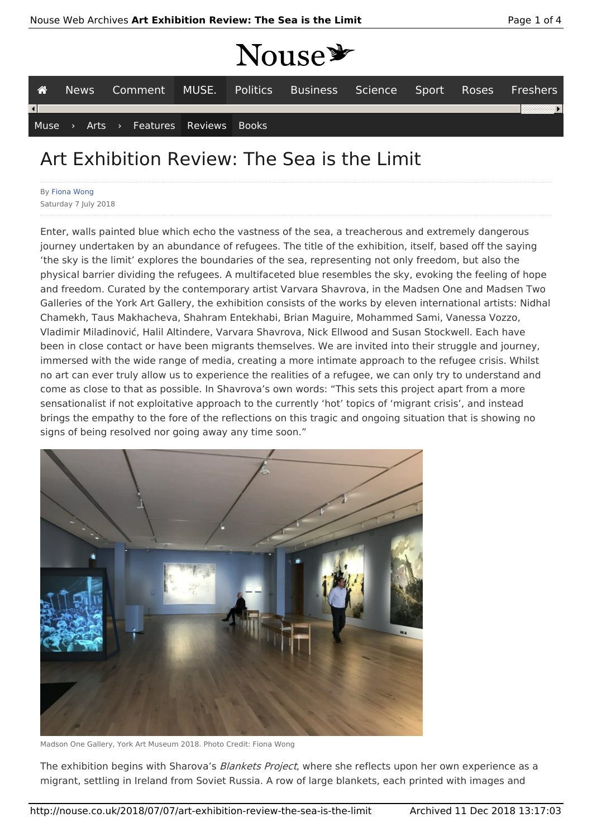## MOUSE

|                          |  |  |  |  |                                      |  | <b>TIANA</b>                                                      |  |  |  |  |  |
|--------------------------|--|--|--|--|--------------------------------------|--|-------------------------------------------------------------------|--|--|--|--|--|
| 一谷                       |  |  |  |  |                                      |  | News Comment MUSE. Politics Business Science Sport Roses Freshers |  |  |  |  |  |
| $\left  \bullet \right $ |  |  |  |  |                                      |  |                                                                   |  |  |  |  |  |
|                          |  |  |  |  | Muse > Arts > Features Reviews Books |  |                                                                   |  |  |  |  |  |

## Art Exhibition Review: The Sea is the Limit

By Fiona Wong Saturday 7 July 2018

Enter, walls painted blue which echo the vastness of the sea, a treacherous and extremely dangerous journey undertaken by an abundance of refugees. The title of the exhibition, itself, based off the saying 'the sky is the limit' explores the boundaries of the sea, representing not only freedom, but also the physical barrier dividing the refugees. A multifaceted blue resembles the sky, evoking the feeling of hope and freedom. Curated by the contemporary artist Varvara Shavrova, in the Madsen One and Madsen Two Galleries of the York Art Gallery, the exhibition consists of the works by eleven international artists: Nidhal Chamekh, Taus Makhacheva, Shahram Entekhabi, Brian Maguire, Mohammed Sami, Vanessa Vozzo, Vladimir Miladinović, Halil Altindere, Varvara Shavrova, Nick Ellwood and Susan Stockwell. Each have been in close contact or have been migrants themselves. We are invited into their struggle and journey, immersed with the wide range of media, creating a more intimate approach to the refugee crisis. Whilst no art can ever truly allow us to experience the realities of a refugee, we can only try to understand and come as close to that as possible. In Shavrova's own words: "This sets this project apart from a more sensationalist if not exploitative approach to the currently 'hot' topics of 'migrant crisis', and instead brings the empathy to the fore of the reflections on this tragic and ongoing situation that is showing no signs of being resolved nor going away any time soon."



Madson One Gallery, York Art Museum 2018. Photo Credit: Fiona Wong

The exhibition begins with Sharova's Blankets Project, where she reflects upon her own experience as a migrant, settling in Ireland from Soviet Russia. A row of large blankets, each printed with images and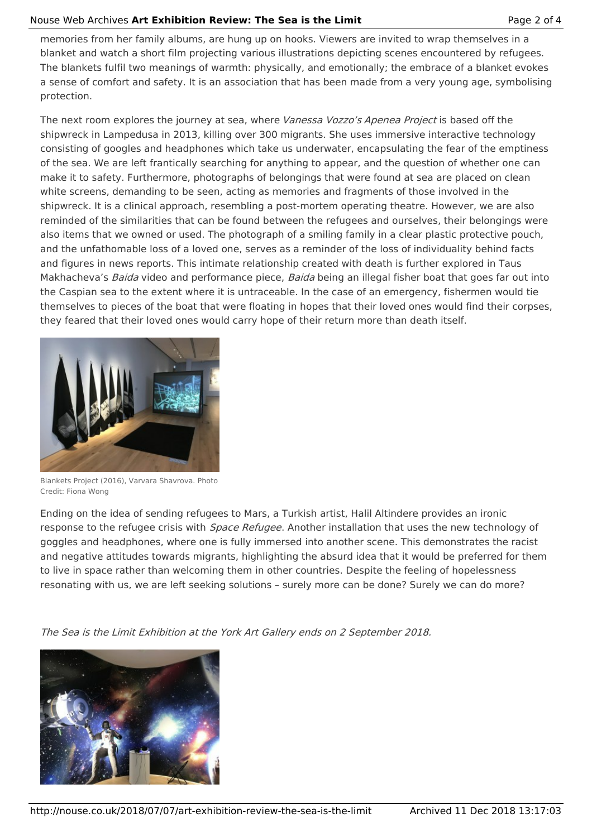## Nouse Web Archives **Art Exhibition Review: The Sea is the Limit** Page 2 of 4

memories from her family albums, are hung up on hooks. Viewers are invited to wrap themselves in a blanket and watch a short film projecting various illustrations depicting scenes encountered by refugees. The blankets fulfil two meanings of warmth: physically, and emotionally; the embrace of a blanket evokes a sense of comfort and safety. It is an association that has been made from a very young age, symbolising protection.

The next room explores the journey at sea, where Vanessa Vozzo's Apenea Project is based off the shipwreck in Lampedusa in 2013, killing over 300 migrants. She uses immersive interactive technology consisting of googles and headphones which take us underwater, encapsulating the fear of the emptiness of the sea. We are left frantically searching for anything to appear, and the question of whether one can make it to safety. Furthermore, photographs of belongings that were found at sea are placed on clean white screens, demanding to be seen, acting as memories and fragments of those involved in the shipwreck. It is a clinical approach, resembling a post-mortem operating theatre. However, we are also reminded of the similarities that can be found between the refugees and ourselves, their belongings were also items that we owned or used. The photograph of a smiling family in a clear plastic protective pouch, and the unfathomable loss of a loved one, serves as a reminder of the loss of individuality behind facts and figures in news reports. This intimate relationship created with death is further explored in Taus Makhacheva's Baida video and performance piece, Baida being an illegal fisher boat that goes far out into the Caspian sea to the extent where it is untraceable. In the case of an emergency, fishermen would tie themselves to pieces of the boat that were floating in hopes that their loved ones would find their corpses, they feared that their loved ones would carry hope of their return more than death itself.



Blankets Project (2016), Varvara Shavrova. Photo Credit: Fiona Wong

Ending on the idea of sending refugees to Mars, a Turkish artist, Halil Altindere provides an ironic response to the refugee crisis with *Space Refugee*. Another installation that uses the new technology of goggles and headphones, where one is fully immersed into another scene. This demonstrates the racist and negative attitudes towards migrants, highlighting the absurd idea that it would be preferred for them to live in space rather than welcoming them in other countries. Despite the feeling of hopelessness resonating with us, we are left seeking solutions – surely more can be done? Surely we can do more?

The Sea is the Limit Exhibition at the York Art Gallery ends on 2 September 2018.

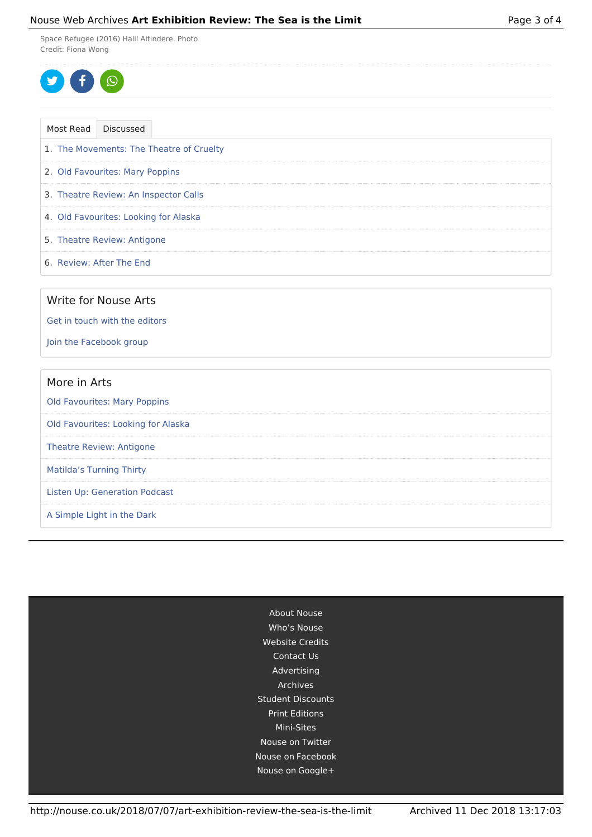## Nouse Web Archives **Art Exhibition Review: The Sea is the Limit** Page 3 of 4

Space Refugee (2016) Halil Altindere. Photo Credit: Fiona Wong

$$
\bullet \bullet \bullet
$$

| Most Read | Discussed                                |  |
|-----------|------------------------------------------|--|
|           | 1. The Movements: The Theatre of Cruelty |  |
|           | 2. Old Favourites: Mary Poppins          |  |
|           | 3. Theatre Review: An Inspector Calls    |  |
|           | 4. Old Favourites: Looking for Alaska    |  |
|           | 5. Theatre Review: Antigone              |  |
|           | 6. Review: After The End                 |  |
|           |                                          |  |
|           | Write for Nouse Arts                     |  |

Get in touch with the editors

Join the Facebook group

| More in Arts                        |
|-------------------------------------|
| <b>Old Favourites: Mary Poppins</b> |
| Old Favourites: Looking for Alaska  |
| <b>Theatre Review: Antigone</b>     |
| <b>Matilda's Turning Thirty</b>     |
| Listen Up: Generation Podcast       |
| A Simple Light in the Dark          |

About Nouse Who's Nouse Website Credits Contact Us Advertising Archives Student Discounts Print Editions Mini-Sites Nouse on Twitter Nouse on Facebook Nouse on Google+